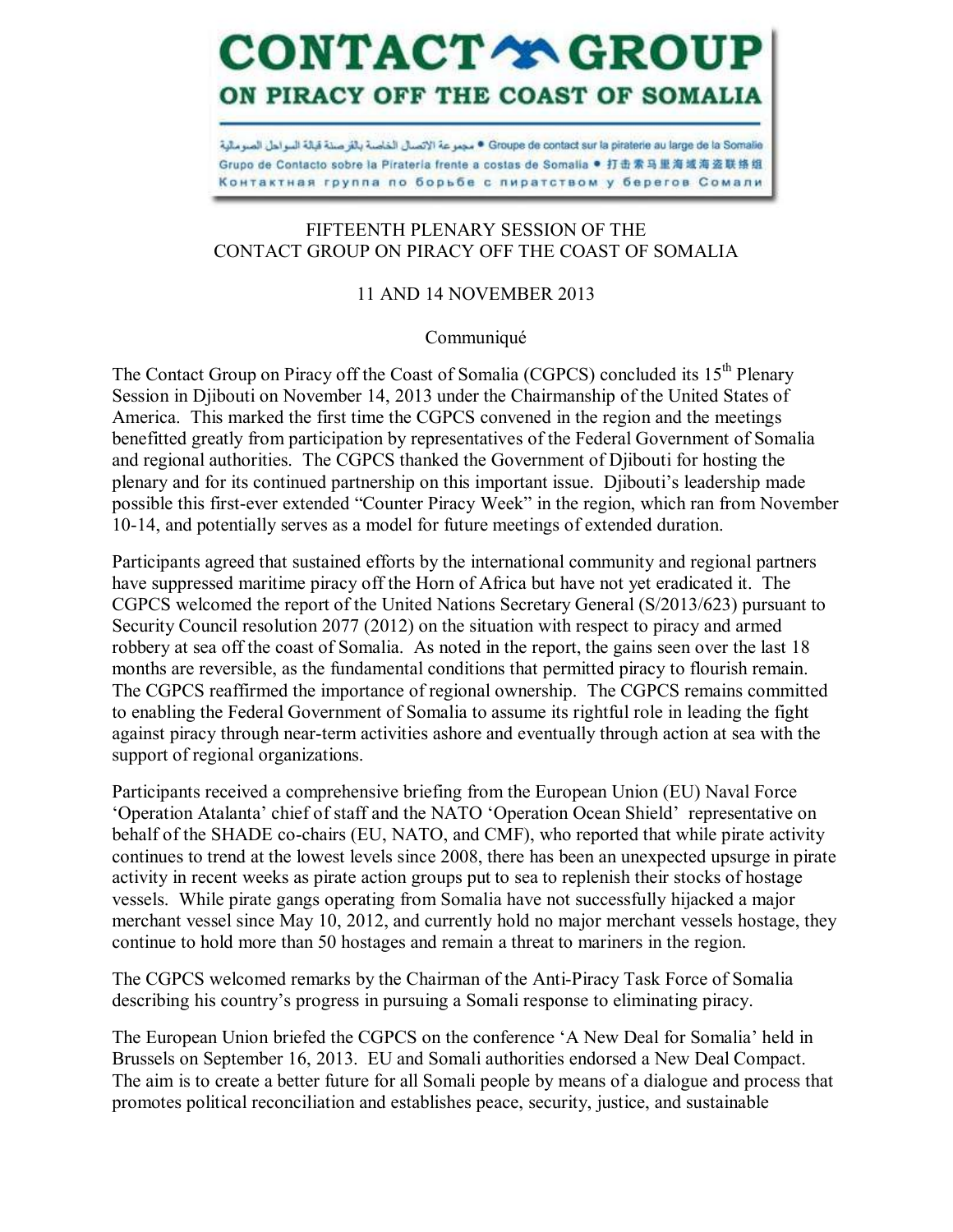## **CONTACT YA GROUP** ON PIRACY OFF THE COAST OF SOMALIA

Groupe de contact sur la piraterie au large de la Somalie • مجموعة الإتسال الخاصة بالأر صنة قبالة السواحل الصومالية Grupo de Contacto sobre la Pirateria frente a costas de Somalia ● 打击索马里海域海盗联络组 Контактная группа по борьбе с пиратством у берегов Сомали

## FIFTEENTH PLENARY SESSION OF THE CONTACT GROUP ON PIRACY OFF THE COAST OF SOMALIA

## 11 AND 14 NOVEMBER 2013

Communiqué

The Contact Group on Piracy off the Coast of Somalia (CGPCS) concluded its 15<sup>th</sup> Plenary Session in Djibouti on November 14, 2013 under the Chairmanship of the United States of America. This marked the first time the CGPCS convened in the region and the meetings benefitted greatly from participation by representatives of the Federal Government of Somalia and regional authorities. The CGPCS thanked the Government of Djibouti for hosting the plenary and for its continued partnership on this important issue. Djibouti's leadership made possible this first-ever extended "Counter Piracy Week" in the region, which ran from November 10-14, and potentially serves as a model for future meetings of extended duration.

Participants agreed that sustained efforts by the international community and regional partners have suppressed maritime piracy off the Horn of Africa but have not yet eradicated it. The CGPCS welcomed the report of the United Nations Secretary General (S/2013/623) pursuant to Security Council resolution 2077 (2012) on the situation with respect to piracy and armed robbery at sea off the coast of Somalia. As noted in the report, the gains seen over the last 18 months are reversible, as the fundamental conditions that permitted piracy to flourish remain. The CGPCS reaffirmed the importance of regional ownership. The CGPCS remains committed to enabling the Federal Government of Somalia to assume its rightful role in leading the fight against piracy through near-term activities ashore and eventually through action at sea with the support of regional organizations.

Participants received a comprehensive briefing from the European Union (EU) Naval Force 'Operation Atalanta' chief of staff and the NATO 'Operation Ocean Shield' representative on behalf of the SHADE co-chairs (EU, NATO, and CMF), who reported that while pirate activity continues to trend at the lowest levels since 2008, there has been an unexpected upsurge in pirate activity in recent weeks as pirate action groups put to sea to replenish their stocks of hostage vessels. While pirate gangs operating from Somalia have not successfully hijacked a major merchant vessel since May 10, 2012, and currently hold no major merchant vessels hostage, they continue to hold more than 50 hostages and remain a threat to mariners in the region.

The CGPCS welcomed remarks by the Chairman of the Anti-Piracy Task Force of Somalia describing his country's progress in pursuing a Somali response to eliminating piracy.

The European Union briefed the CGPCS on the conference 'A New Deal for Somalia' held in Brussels on September 16, 2013. EU and Somali authorities endorsed a New Deal Compact. The aim is to create a better future for all Somali people by means of a dialogue and process that promotes political reconciliation and establishes peace, security, justice, and sustainable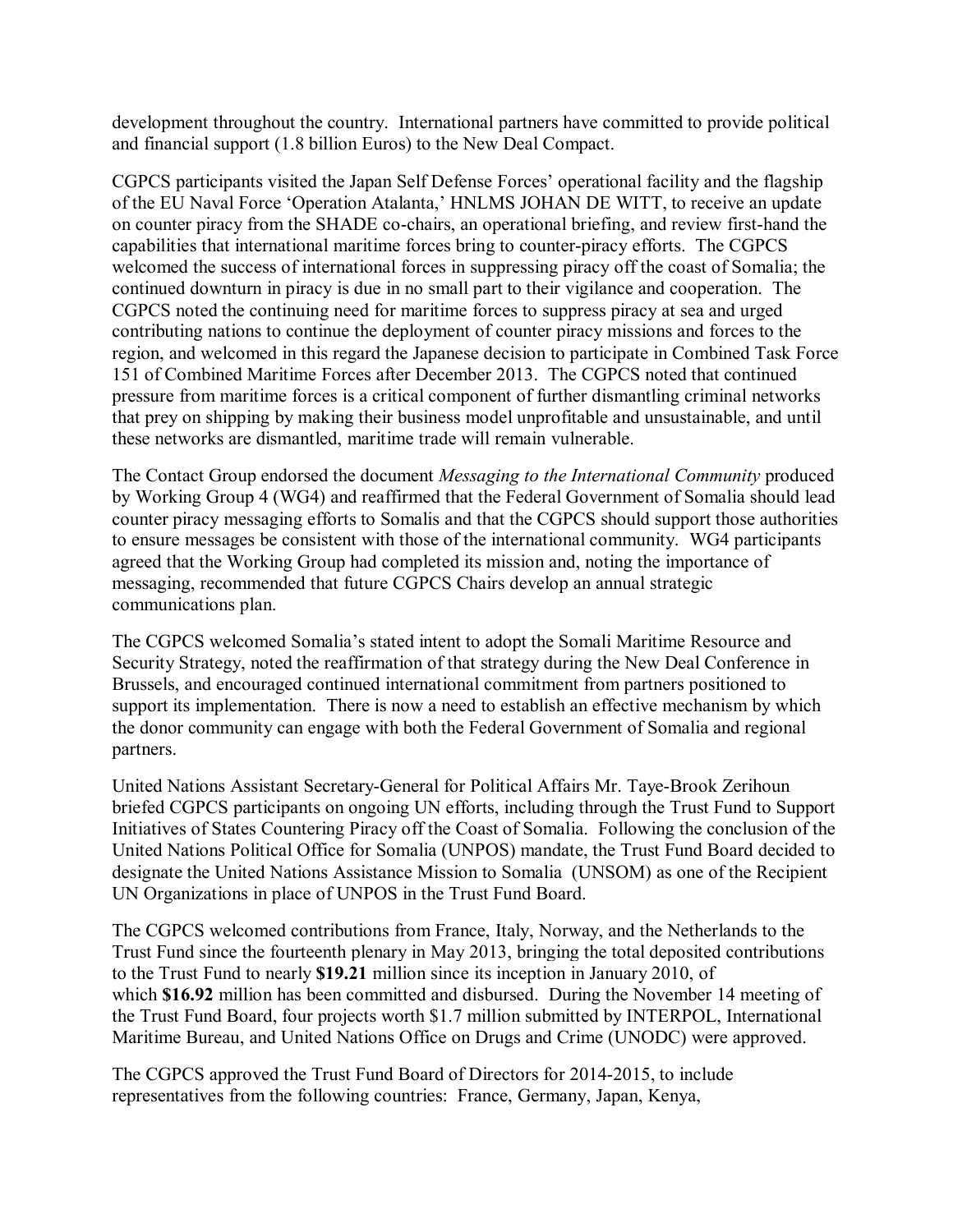development throughout the country. International partners have committed to provide political and financial support (1.8 billion Euros) to the New Deal Compact.

CGPCS participants visited the Japan Self Defense Forces' operational facility and the flagship of the EU Naval Force 'Operation Atalanta,' HNLMS JOHAN DE WITT, to receive an update on counter piracy from the SHADE co-chairs, an operational briefing, and review first-hand the capabilities that international maritime forces bring to counter-piracy efforts. The CGPCS welcomed the success of international forces in suppressing piracy off the coast of Somalia; the continued downturn in piracy is due in no small part to their vigilance and cooperation. The CGPCS noted the continuing need for maritime forces to suppress piracy at sea and urged contributing nations to continue the deployment of counter piracy missions and forces to the region, and welcomed in this regard the Japanese decision to participate in Combined Task Force 151 of Combined Maritime Forces after December 2013. The CGPCS noted that continued pressure from maritime forces is a critical component of further dismantling criminal networks that prey on shipping by making their business model unprofitable and unsustainable, and until these networks are dismantled, maritime trade will remain vulnerable.

The Contact Group endorsed the document *Messaging to the International Community* produced by Working Group 4 (WG4) and reaffirmed that the Federal Government of Somalia should lead counter piracy messaging efforts to Somalis and that the CGPCS should support those authorities to ensure messages be consistent with those of the international community. WG4 participants agreed that the Working Group had completed its mission and, noting the importance of messaging, recommended that future CGPCS Chairs develop an annual strategic communications plan.

The CGPCS welcomed Somalia's stated intent to adopt the Somali Maritime Resource and Security Strategy, noted the reaffirmation of that strategy during the New Deal Conference in Brussels, and encouraged continued international commitment from partners positioned to support its implementation. There is now a need to establish an effective mechanism by which the donor community can engage with both the Federal Government of Somalia and regional partners.

United Nations Assistant Secretary-General for Political Affairs Mr. Taye-Brook Zerihoun briefed CGPCS participants on ongoing UN efforts, including through the Trust Fund to Support Initiatives of States Countering Piracy off the Coast of Somalia. Following the conclusion of the United Nations Political Office for Somalia (UNPOS) mandate, the Trust Fund Board decided to designate the United Nations Assistance Mission to Somalia (UNSOM) as one of the Recipient UN Organizations in place of UNPOS in the Trust Fund Board.

The CGPCS welcomed contributions from France, Italy, Norway, and the Netherlands to the Trust Fund since the fourteenth plenary in May 2013, bringing the total deposited contributions to the Trust Fund to nearly **\$19.21** million since its inception in January 2010, of which **\$16.92** million has been committed and disbursed. During the November 14 meeting of the Trust Fund Board, four projects worth \$1.7 million submitted by INTERPOL, International Maritime Bureau, and United Nations Office on Drugs and Crime (UNODC) were approved.

The CGPCS approved the Trust Fund Board of Directors for 2014-2015, to include representatives from the following countries: France, Germany, Japan, Kenya,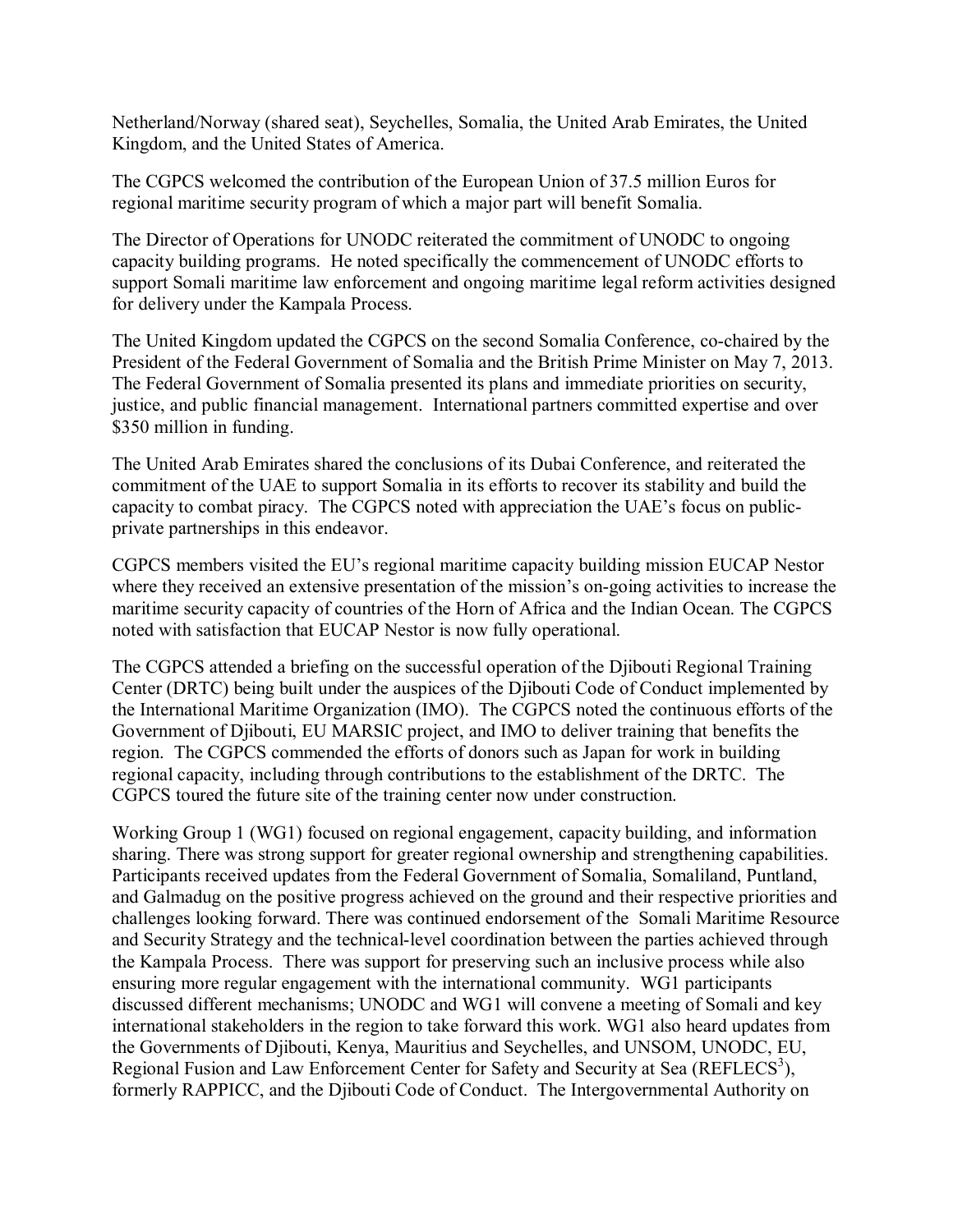Netherland/Norway (shared seat), Seychelles, Somalia, the United Arab Emirates, the United Kingdom, and the United States of America.

The CGPCS welcomed the contribution of the European Union of 37.5 million Euros for regional maritime security program of which a major part will benefit Somalia.

The Director of Operations for UNODC reiterated the commitment of UNODC to ongoing capacity building programs. He noted specifically the commencement of UNODC efforts to support Somali maritime law enforcement and ongoing maritime legal reform activities designed for delivery under the Kampala Process.

The United Kingdom updated the CGPCS on the second Somalia Conference, co-chaired by the President of the Federal Government of Somalia and the British Prime Minister on May 7, 2013. The Federal Government of Somalia presented its plans and immediate priorities on security, justice, and public financial management. International partners committed expertise and over \$350 million in funding.

The United Arab Emirates shared the conclusions of its Dubai Conference, and reiterated the commitment of the UAE to support Somalia in its efforts to recover its stability and build the capacity to combat piracy. The CGPCS noted with appreciation the UAE's focus on publicprivate partnerships in this endeavor.

CGPCS members visited the EU's regional maritime capacity building mission EUCAP Nestor where they received an extensive presentation of the mission's on-going activities to increase the maritime security capacity of countries of the Horn of Africa and the Indian Ocean. The CGPCS noted with satisfaction that EUCAP Nestor is now fully operational.

The CGPCS attended a briefing on the successful operation of the Djibouti Regional Training Center (DRTC) being built under the auspices of the Djibouti Code of Conduct implemented by the International Maritime Organization (IMO). The CGPCS noted the continuous efforts of the Government of Djibouti, EU MARSIC project, and IMO to deliver training that benefits the region. The CGPCS commended the efforts of donors such as Japan for work in building regional capacity, including through contributions to the establishment of the DRTC. The CGPCS toured the future site of the training center now under construction.

Working Group 1 (WG1) focused on regional engagement, capacity building, and information sharing. There was strong support for greater regional ownership and strengthening capabilities. Participants received updates from the Federal Government of Somalia, Somaliland, Puntland, and Galmadug on the positive progress achieved on the ground and their respective priorities and challenges looking forward. There was continued endorsement of the Somali Maritime Resource and Security Strategy and the technical-level coordination between the parties achieved through the Kampala Process. There was support for preserving such an inclusive process while also ensuring more regular engagement with the international community. WG1 participants discussed different mechanisms; UNODC and WG1 will convene a meeting of Somali and key international stakeholders in the region to take forward this work. WG1 also heard updates from the Governments of Djibouti, Kenya, Mauritius and Seychelles, and UNSOM, UNODC, EU, Regional Fusion and Law Enforcement Center for Safety and Security at Sea (REFLECS<sup>3</sup>), formerly RAPPICC, and the Djibouti Code of Conduct. The Intergovernmental Authority on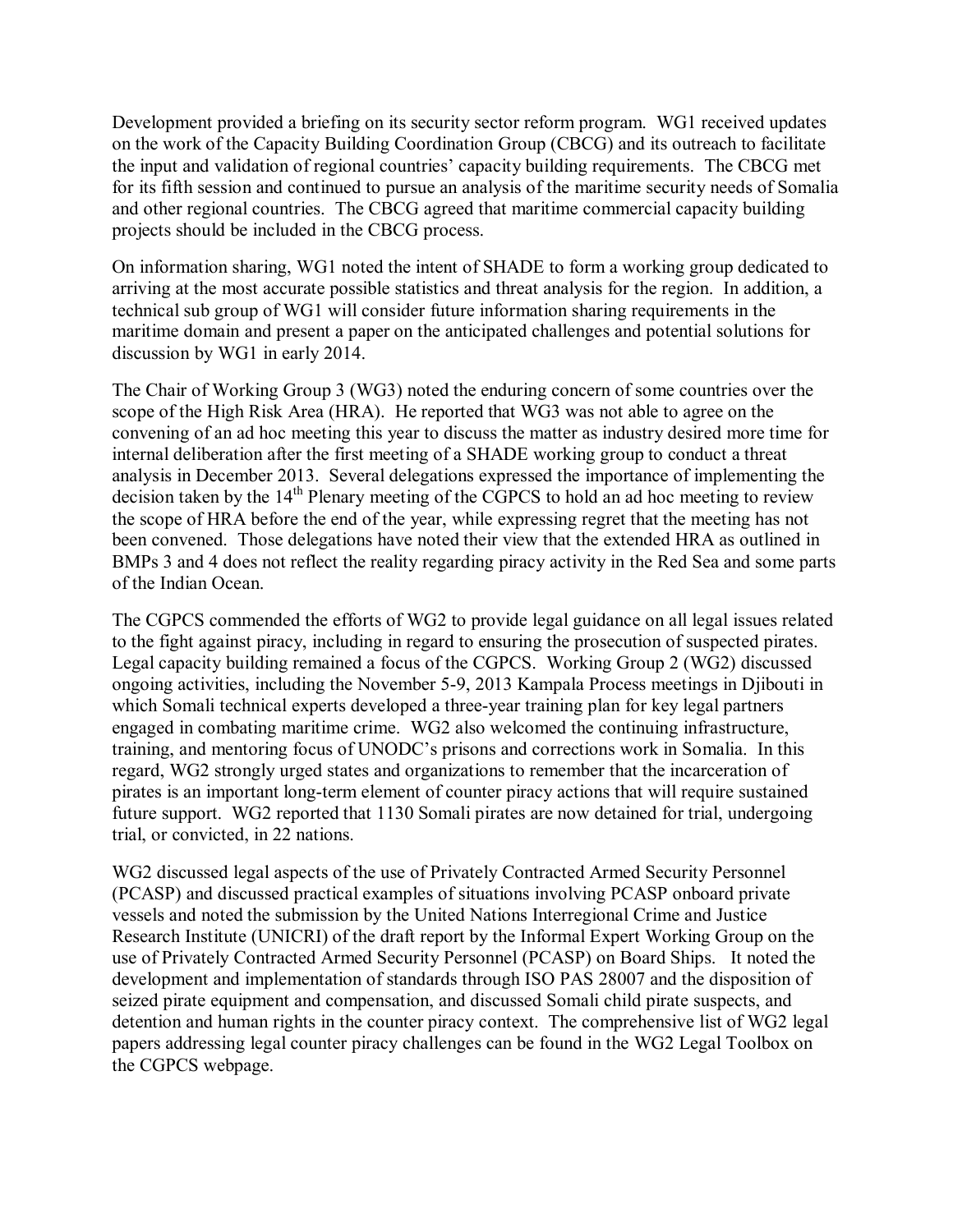Development provided a briefing on its security sector reform program. WG1 received updates on the work of the Capacity Building Coordination Group (CBCG) and its outreach to facilitate the input and validation of regional countries' capacity building requirements. The CBCG met for its fifth session and continued to pursue an analysis of the maritime security needs of Somalia and other regional countries. The CBCG agreed that maritime commercial capacity building projects should be included in the CBCG process.

On information sharing, WG1 noted the intent of SHADE to form a working group dedicated to arriving at the most accurate possible statistics and threat analysis for the region. In addition, a technical sub group of WG1 will consider future information sharing requirements in the maritime domain and present a paper on the anticipated challenges and potential solutions for discussion by WG1 in early 2014.

The Chair of Working Group 3 (WG3) noted the enduring concern of some countries over the scope of the High Risk Area (HRA). He reported that WG3 was not able to agree on the convening of an ad hoc meeting this year to discuss the matter as industry desired more time for internal deliberation after the first meeting of a SHADE working group to conduct a threat analysis in December 2013. Several delegations expressed the importance of implementing the decision taken by the  $14<sup>th</sup>$  Plenary meeting of the CGPCS to hold an ad hoc meeting to review the scope of HRA before the end of the year, while expressing regret that the meeting has not been convened. Those delegations have noted their view that the extended HRA as outlined in BMPs 3 and 4 does not reflect the reality regarding piracy activity in the Red Sea and some parts of the Indian Ocean.

The CGPCS commended the efforts of WG2 to provide legal guidance on all legal issues related to the fight against piracy, including in regard to ensuring the prosecution of suspected pirates. Legal capacity building remained a focus of the CGPCS. Working Group 2 (WG2) discussed ongoing activities, including the November 5-9, 2013 Kampala Process meetings in Djibouti in which Somali technical experts developed a three-year training plan for key legal partners engaged in combating maritime crime. WG2 also welcomed the continuing infrastructure, training, and mentoring focus of UNODC's prisons and corrections work in Somalia. In this regard, WG2 strongly urged states and organizations to remember that the incarceration of pirates is an important long-term element of counter piracy actions that will require sustained future support. WG2 reported that 1130 Somali pirates are now detained for trial, undergoing trial, or convicted, in 22 nations.

WG2 discussed legal aspects of the use of Privately Contracted Armed Security Personnel (PCASP) and discussed practical examples of situations involving PCASP onboard private vessels and noted the submission by the United Nations Interregional Crime and Justice Research Institute (UNICRI) of the draft report by the Informal Expert Working Group on the use of Privately Contracted Armed Security Personnel (PCASP) on Board Ships. It noted the development and implementation of standards through ISO PAS 28007 and the disposition of seized pirate equipment and compensation, and discussed Somali child pirate suspects, and detention and human rights in the counter piracy context. The comprehensive list of WG2 legal papers addressing legal counter piracy challenges can be found in the WG2 Legal Toolbox on the CGPCS webpage.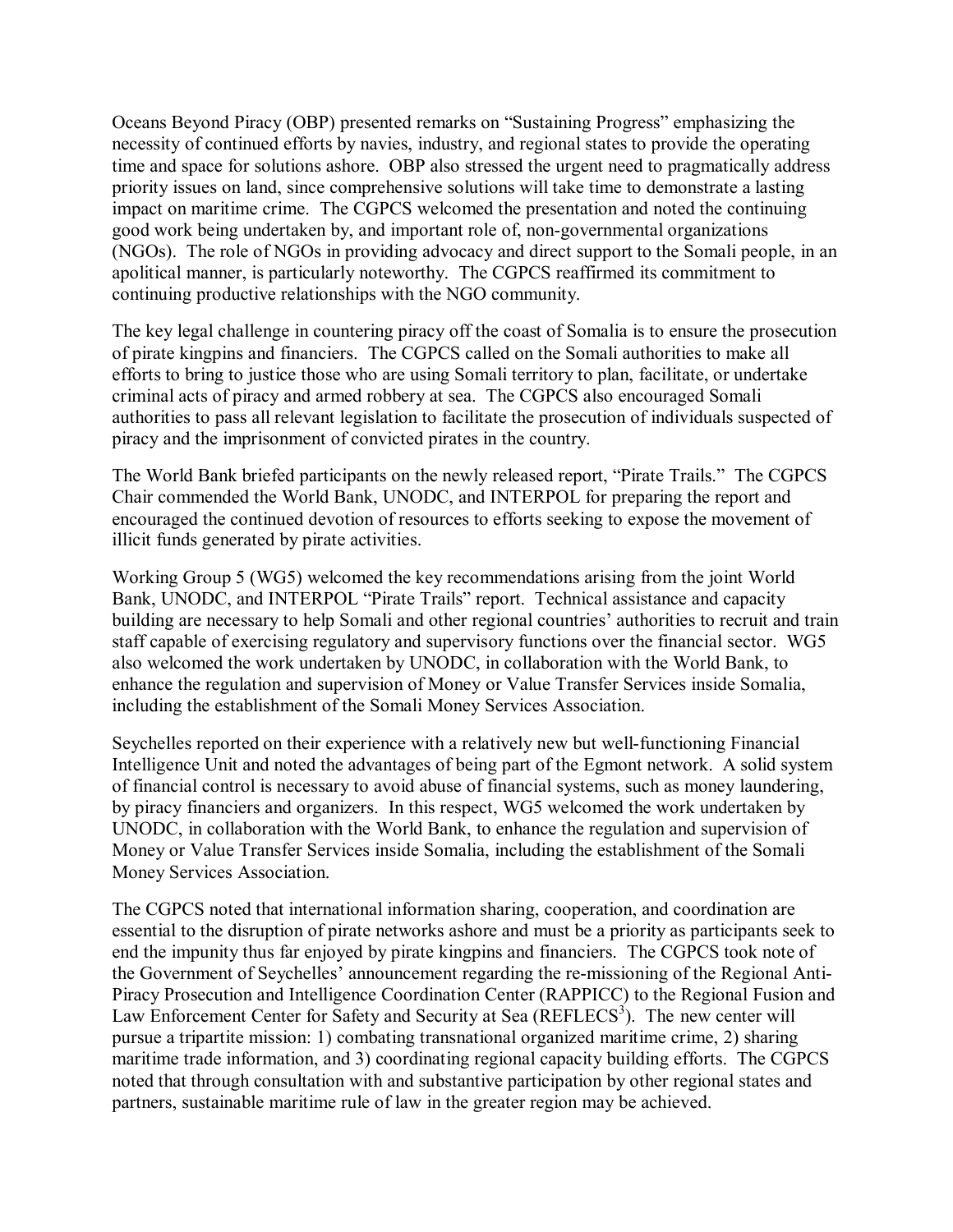Oceans Beyond Piracy (OBP) presented remarks on "Sustaining Progress" emphasizing the necessity of continued efforts by navies, industry, and regional states to provide the operating time and space for solutions ashore. OBP also stressed the urgent need to pragmatically address priority issues on land, since comprehensive solutions will take time to demonstrate a lasting impact on maritime crime. The CGPCS welcomed the presentation and noted the continuing good work being undertaken by, and important role of, non-governmental organizations (NGOs). The role of NGOs in providing advocacy and direct support to the Somali people, in an apolitical manner, is particularly noteworthy. The CGPCS reaffirmed its commitment to continuing productive relationships with the NGO community.

The key legal challenge in countering piracy off the coast of Somalia is to ensure the prosecution of pirate kingpins and financiers. The CGPCS called on the Somali authorities to make all efforts to bring to justice those who are using Somali territory to plan, facilitate, or undertake criminal acts of piracy and armed robbery at sea. The CGPCS also encouraged Somali authorities to pass all relevant legislation to facilitate the prosecution of individuals suspected of piracy and the imprisonment of convicted pirates in the country.

The World Bank briefed participants on the newly released report, "Pirate Trails." The CGPCS Chair commended the World Bank, UNODC, and INTERPOL for preparing the report and encouraged the continued devotion of resources to efforts seeking to expose the movement of illicit funds generated by pirate activities.

Working Group 5 (WG5) welcomed the key recommendations arising from the joint World Bank, UNODC, and INTERPOL "Pirate Trails" report. Technical assistance and capacity building are necessary to help Somali and other regional countries' authorities to recruit and train staff capable of exercising regulatory and supervisory functions over the financial sector. WG5 also welcomed the work undertaken by UNODC, in collaboration with the World Bank, to enhance the regulation and supervision of Money or Value Transfer Services inside Somalia, including the establishment of the Somali Money Services Association.

Seychelles reported on their experience with a relatively new but well-functioning Financial Intelligence Unit and noted the advantages of being part of the Egmont network. A solid system of financial control is necessary to avoid abuse of financial systems, such as money laundering, by piracy financiers and organizers. In this respect, WG5 welcomed the work undertaken by UNODC, in collaboration with the World Bank, to enhance the regulation and supervision of Money or Value Transfer Services inside Somalia, including the establishment of the Somali Money Services Association.

The CGPCS noted that international information sharing, cooperation, and coordination are essential to the disruption of pirate networks ashore and must be a priority as participants seek to end the impunity thus far enjoyed by pirate kingpins and financiers. The CGPCS took note of the Government of Seychelles' announcement regarding the re-missioning of the Regional Anti-Piracy Prosecution and Intelligence Coordination Center (RAPPICC) to the Regional Fusion and Law Enforcement Center for Safety and Security at Sea  $(REFLECS<sup>3</sup>)$ . The new center will pursue a tripartite mission: 1) combating transnational organized maritime crime, 2) sharing maritime trade information, and 3) coordinating regional capacity building efforts. The CGPCS noted that through consultation with and substantive participation by other regional states and partners, sustainable maritime rule of law in the greater region may be achieved.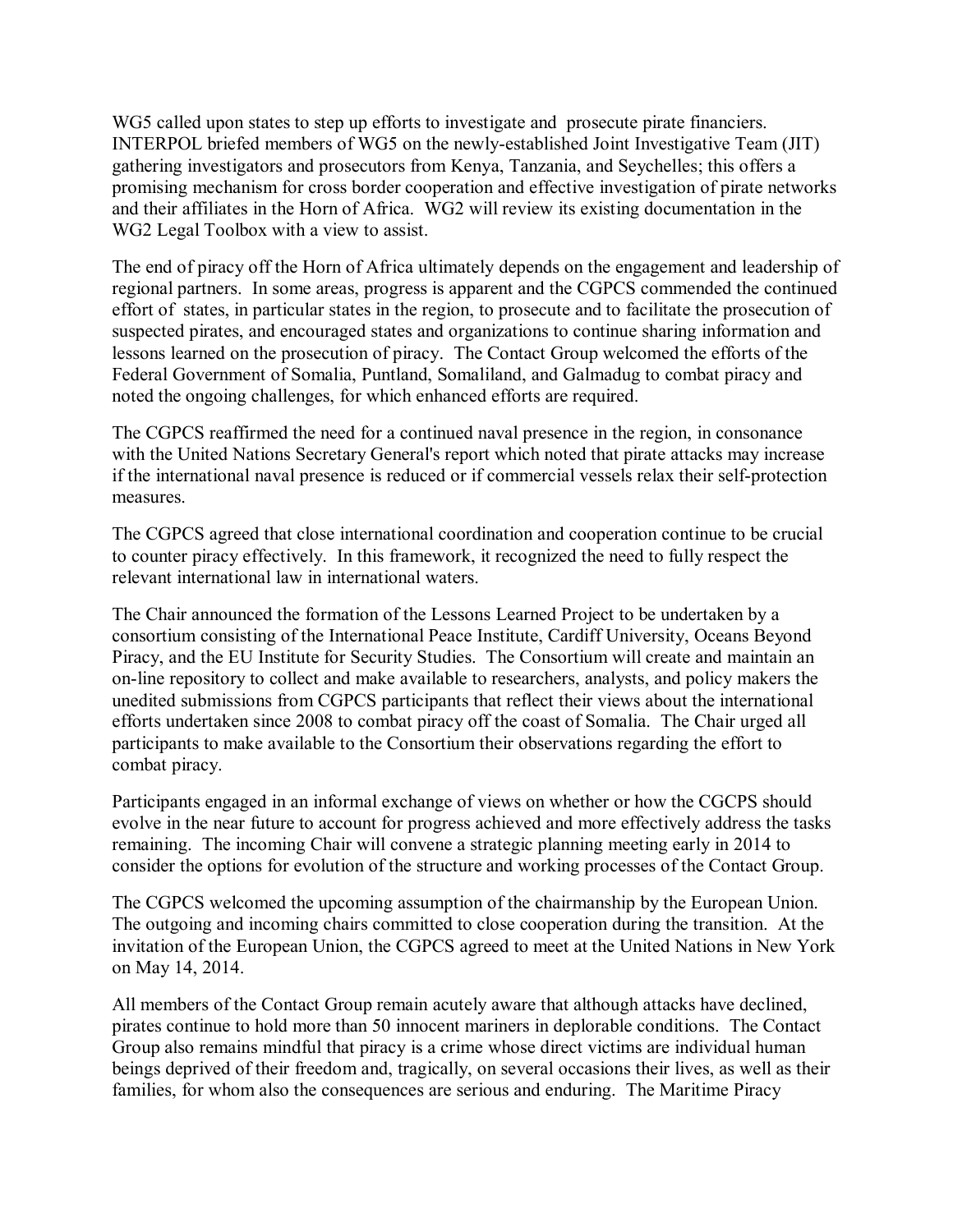WG5 called upon states to step up efforts to investigate and prosecute pirate financiers. INTERPOL briefed members of WG5 on the newly-established Joint Investigative Team (JIT) gathering investigators and prosecutors from Kenya, Tanzania, and Seychelles; this offers a promising mechanism for cross border cooperation and effective investigation of pirate networks and their affiliates in the Horn of Africa. WG2 will review its existing documentation in the WG2 Legal Toolbox with a view to assist.

The end of piracy off the Horn of Africa ultimately depends on the engagement and leadership of regional partners. In some areas, progress is apparent and the CGPCS commended the continued effort of states, in particular states in the region, to prosecute and to facilitate the prosecution of suspected pirates, and encouraged states and organizations to continue sharing information and lessons learned on the prosecution of piracy. The Contact Group welcomed the efforts of the Federal Government of Somalia, Puntland, Somaliland, and Galmadug to combat piracy and noted the ongoing challenges, for which enhanced efforts are required.

The CGPCS reaffirmed the need for a continued naval presence in the region, in consonance with the United Nations Secretary General's report which noted that pirate attacks may increase if the international naval presence is reduced or if commercial vessels relax their self-protection measures.

The CGPCS agreed that close international coordination and cooperation continue to be crucial to counter piracy effectively. In this framework, it recognized the need to fully respect the relevant international law in international waters.

The Chair announced the formation of the Lessons Learned Project to be undertaken by a consortium consisting of the International Peace Institute, Cardiff University, Oceans Beyond Piracy, and the EU Institute for Security Studies. The Consortium will create and maintain an on-line repository to collect and make available to researchers, analysts, and policy makers the unedited submissions from CGPCS participants that reflect their views about the international efforts undertaken since 2008 to combat piracy off the coast of Somalia. The Chair urged all participants to make available to the Consortium their observations regarding the effort to combat piracy.

Participants engaged in an informal exchange of views on whether or how the CGCPS should evolve in the near future to account for progress achieved and more effectively address the tasks remaining. The incoming Chair will convene a strategic planning meeting early in 2014 to consider the options for evolution of the structure and working processes of the Contact Group.

The CGPCS welcomed the upcoming assumption of the chairmanship by the European Union. The outgoing and incoming chairs committed to close cooperation during the transition. At the invitation of the European Union, the CGPCS agreed to meet at the United Nations in New York on May 14, 2014.

All members of the Contact Group remain acutely aware that although attacks have declined, pirates continue to hold more than 50 innocent mariners in deplorable conditions. The Contact Group also remains mindful that piracy is a crime whose direct victims are individual human beings deprived of their freedom and, tragically, on several occasions their lives, as well as their families, for whom also the consequences are serious and enduring. The Maritime Piracy